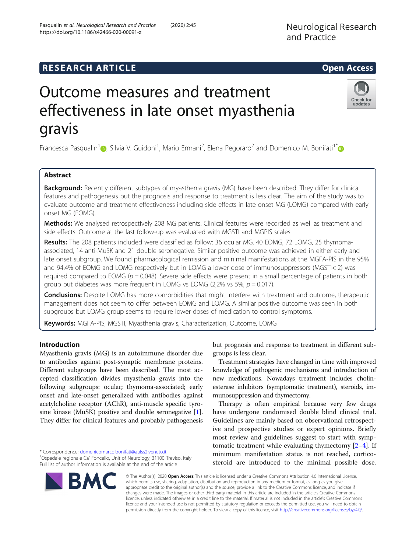# **RESEARCH ARTICLE Example 2014 12:30 The SEAR CH ACCESS**

# Outcome measures and treatment effectiveness in late onset myasthenia gravis

Francesca Pasqualin<sup>1</sup> (b[,](https://orcid.org/0000-0002-8006-3604) Silvia V. Guidoni<sup>1</sup>, Mario Ermani<sup>2</sup>, Elena Pegoraro<sup>2</sup> and Domenico M. Bonifati<sup>1\*</sup>

# Abstract

Background: Recently different subtypes of myasthenia gravis (MG) have been described. They differ for clinical features and pathogenesis but the prognosis and response to treatment is less clear. The aim of the study was to evaluate outcome and treatment effectiveness including side effects in late onset MG (LOMG) compared with early onset MG (EOMG).

Methods: We analysed retrospectively 208 MG patients. Clinical features were recorded as well as treatment and side effects. Outcome at the last follow-up was evaluated with MGSTI and MGPIS scales.

Results: The 208 patients included were classified as follow: 36 ocular MG, 40 EOMG, 72 LOMG, 25 thymomaassociated, 14 anti-MuSK and 21 double seronegative. Similar positive outcome was achieved in either early and late onset subgroup. We found pharmacological remission and minimal manifestations at the MGFA-PIS in the 95% and 94,4% of EOMG and LOMG respectively but in LOMG a lower dose of immunosuppressors (MGSTI< 2) was required compared to EOMG ( $p = 0.048$ ). Severe side effects were present in a small percentage of patients in both group but diabetes was more frequent in LOMG vs EOMG (2,2% vs 5%,  $p = 0.017$ ).

**Conclusions:** Despite LOMG has more comorbidities that might interfere with treatment and outcome, therapeutic management does not seem to differ between EOMG and LOMG. A similar positive outcome was seen in both subgroups but LOMG group seems to require lower doses of medication to control symptoms.

Keywords: MGFA-PIS, MGSTI, Myasthenia gravis, Characterization, Outcome, LOMG

# Introduction

Myasthenia gravis (MG) is an autoimmune disorder due to antibodies against post-synaptic membrane proteins. Different subgroups have been described. The most accepted classification divides myasthenia gravis into the following subgroups: ocular; thymoma-associated; early onset and late-onset generalized with antibodies against acetylcholine receptor (AChR), anti-muscle specific tyrosine kinase (MuSK) positive and double seronegative [[1](#page-6-0)]. They differ for clinical features and probably pathogenesis

<sup>1</sup>Ospedale regionale Ca' Foncello, Unit of Neurology, 31100 Treviso, Italy Full list of author information is available at the end of the article

but prognosis and response to treatment in different subgroups is less clear.

Treatment strategies have changed in time with improved knowledge of pathogenic mechanisms and introduction of new medications. Nowadays treatment includes cholinesterase inhibitors (symptomatic treatment), steroids, immunosuppression and thymectomy.

Therapy is often empirical because very few drugs have undergone randomised double blind clinical trial. Guidelines are mainly based on observational retrospective and prospective studies or expert opinions. Briefly most review and guidelines suggest to start with symptomatic treatment while evaluating thymectomy  $[2-4]$  $[2-4]$  $[2-4]$  $[2-4]$ . If minimum manifestation status is not reached, corticosteroid are introduced to the minimal possible dose.

© The Author(s). 2020 Open Access This article is licensed under a Creative Commons Attribution 4.0 International License, which permits use, sharing, adaptation, distribution and reproduction in any medium or format, as long as you give appropriate credit to the original author(s) and the source, provide a link to the Creative Commons licence, and indicate if changes were made. The images or other third party material in this article are included in the article's Creative Commons licence, unless indicated otherwise in a credit line to the material. If material is not included in the article's Creative Commons licence and your intended use is not permitted by statutory regulation or exceeds the permitted use, you will need to obtain permission directly from the copyright holder. To view a copy of this licence, visit [http://creativecommons.org/licenses/by/4.0/.](http://creativecommons.org/licenses/by/4.0/)







<sup>\*</sup> Correspondence: [domenicomarco.bonifati@aulss2.veneto.it](mailto:domenicomarco.bonifati@aulss2.veneto.it) <sup>1</sup>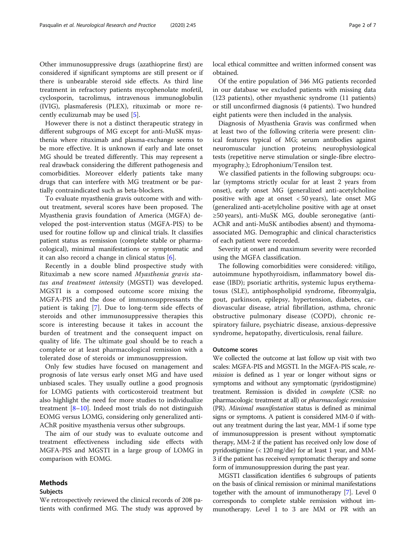Other immunosuppressive drugs (azathioprine first) are considered if significant symptoms are still present or if there is unbearable steroid side effects. As third line treatment in refractory patients mycophenolate mofetil, cyclosporin, tacrolimus, intravenous immunoglobulin (IVIG), plasmaferesis (PLEX), rituximab or more recently eculizumab may be used [[5\]](#page-6-0).

However there is not a distinct therapeutic strategy in different subgroups of MG except for anti-MuSK myasthenia where rituximab and plasma-exchange seems to be more effective. It is unknown if early and late onset MG should be treated differently. This may represent a real drawback considering the different pathogenesis and comorbidities. Moreover elderly patients take many drugs that can interfere with MG treatment or be partially contraindicated such as beta-blockers.

To evaluate myasthenia gravis outcome with and without treatment, several scores have been proposed. The Myasthenia gravis foundation of America (MGFA) developed the post-intervention status (MGFA-PIS) to be used for routine follow up and clinical trials. It classifies patient status as remission (complete stable or pharmacological), minimal manifestations or symptomatic and it can also record a change in clinical status [\[6\]](#page-6-0).

Recently in a double blind prospective study with Rituximab a new score named Myasthenia gravis status and treatment intensity (MGSTI) was developed. MGSTI is a composed outcome score mixing the MGFA-PIS and the dose of immunosuppressants the patient is taking [[7\]](#page-6-0). Due to long-term side effects of steroids and other immunosuppressive therapies this score is interesting because it takes in account the burden of treatment and the consequent impact on quality of life. The ultimate goal should be to reach a complete or at least pharmacological remission with a tolerated dose of steroids or immunosuppression.

Only few studies have focused on management and prognosis of late versus early onset MG and have used unbiased scales. They usually outline a good prognosis for LOMG patients with corticosteroid treatment but also highlight the need for more studies to individualize treatment  $[8-10]$  $[8-10]$  $[8-10]$  $[8-10]$  $[8-10]$ . Indeed most trials do not distinguish EOMG versus LOMG, considering only generalized anti-AChR positive myasthenia versus other subgroups.

The aim of our study was to evaluate outcome and treatment effectiveness including side effects with MGFA-PIS and MGSTI in a large group of LOMG in comparison with EOMG.

# Methods

#### Subjects

We retrospectively reviewed the clinical records of 208 patients with confirmed MG. The study was approved by local ethical committee and written informed consent was obtained.

Of the entire population of 346 MG patients recorded in our database we excluded patients with missing data (123 patients), other myasthenic syndrome (11 patients) or still unconfirmed diagnosis (4 patients). Two hundred eight patients were then included in the analysis.

Diagnosis of Myasthenia Gravis was confirmed when at least two of the following criteria were present: clinical features typical of MG; serum antibodies against neuromuscular junction proteins; neurophysiological tests (repetitive nerve stimulation or single-fibre electromyography.); Edrophonium/Tensilon test.

We classified patients in the following subgroups: ocular (symptoms strictly ocular for at least 2 years from onset), early onset MG (generalized anti-acetylcholine positive with age at onset < 50 years), late onset MG (generalized anti-acetylcholine positive with age at onset ≥50 years), anti-MuSK MG, double seronegative (anti-AChR and anti-MuSK antibodies absent) and thymomaassociated MG. Demographic and clinical characteristics of each patient were recorded.

Severity at onset and maximum severity were recorded using the MGFA classification.

The following comorbidities were considered: vitiligo, autoimmune hypothyroidism, inflammatory bowel disease (IBD); psoriatic arthritis, systemic lupus erythematosus (SLE), antiphospholipid syndrome, fibromyalgia, gout, parkinson, epilepsy, hypertension, diabetes, cardiovascular disease, atrial fibrillation, asthma, chronic obstructive pulmonary disease (COPD), chronic respiratory failure, psychiatric disease, anxious-depressive syndrome, hepatopathy, diverticulosis, renal failure.

# Outcome scores

We collected the outcome at last follow up visit with two scales: MGFA-PIS and MGSTI. In the MGFA-PIS scale, remission is defined as 1 year or longer without signs or symptoms and without any symptomatic (pyridostigmine) treatment. Remission is divided in complete (CSR: no pharmacologic treatment at all) or pharmacologic remission (PR). Minimal manifestation status is defined as minimal signs or symptoms. A patient is considered MM-0 if without any treatment during the last year, MM-1 if some type of immunosuppression is present without symptomatic therapy, MM-2 if the patient has received only low dose of pyridostigmine (< 120 mg/die) for at least 1 year, and MM-3 if the patient has received symptomatic therapy and some form of immunosuppression during the past year.

MGSTI classification identifies 6 subgroups of patients on the basis of clinical remission or minimal manifestations together with the amount of immunotherapy [\[7](#page-6-0)]. Level 0 corresponds to complete stable remission without immunotherapy. Level 1 to 3 are MM or PR with an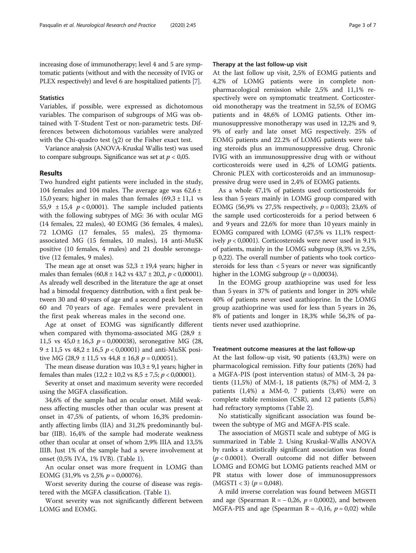increasing dose of immunotherapy; level 4 and 5 are symptomatic patients (without and with the necessity of IVIG or PLEX respectively) and level 6 are hospitalized patients [\[7](#page-6-0)].

# **Statistics**

Variables, if possible, were expressed as dichotomous variables. The comparison of subgroups of MG was obtained with T-Student Test or non-parametric tests. Differences between dichotomous variables were analyzed with the Chi-quadro test  $(y2)$  or the Fisher exact test.

Variance analysis (ANOVA-Kruskal Wallis test) was used to compare subgroups. Significance was set at  $p < 0.05$ .

#### Results

Two hundred eight patients were included in the study, 104 females and 104 males. The average age was  $62,6 \pm$ 15,0 years; higher in males than females  $(69,3 \pm 11,1 \text{ vs } 100)$ 55,9  $\pm$  15,4  $p < 0,0001$ ). The sample included patients with the following subtypes of MG: 36 with ocular MG (14 females, 22 males), 40 EOMG (36 females, 4 males), 72 LOMG (17 females, 55 males), 25 thymomaassociated MG (15 females, 10 males), 14 anti-MuSK positive (10 females, 4 males) and 21 double seronegative (12 females, 9 males).

The mean age at onset was  $52.3 \pm 19.4$  years; higher in males than females  $(60,8 \pm 14,2 \text{ vs } 43,7 \pm 20,2, p < 0,00001)$ . As already well described in the literature the age at onset had a bimodal frequency distribution, with a first peak between 30 and 40 years of age and a second peak between 60 and 70 years of age. Females were prevalent in the first peak whereas males in the second one.

Age at onset of EOMG was significantly different when compared with thymoma-associated MG (28,9  $\pm$ 11,5 vs  $45,0 \pm 16,3$   $p = 0,000038$ , seronegative MG (28, 9 ± 11,5 vs  $48,2 \pm 16,5 \, p < 0,00001$ ) and anti-MuSK positive MG (28,9  $\pm$  11,5 vs 44,8  $\pm$  16,8  $p$  = 0,00051).

The mean disease duration was  $10,3 \pm 9,1$  years; higher in females than males  $(12,2 \pm 10,2 \text{ vs } 8,5 \pm 7,5; p < 0,00001)$ .

Severity at onset and maximum severity were recorded using the MGFA classification.

34,6% of the sample had an ocular onset. Mild weakness affecting muscles other than ocular was present at onset in 47,5% of patients, of whom 16,3% predominantly affecting limbs (IIA) and 31,2% predominantly bulbar (IIB). 16,4% of the sample had moderate weakness other than ocular at onset of whom 2,9% IIIA and 13,5% IIIB. Just 1% of the sample had a severe involvement at onset (0,5% IVA, 1% IVB). (Table [1](#page-3-0)).

An ocular onset was more frequent in LOMG than EOMG (31,9% vs 2,5%  $p = 0,00076$ ).

Worst severity during the course of disease was registered with the MGFA classification. (Table [1\)](#page-3-0).

Worst severity was not significantly different between LOMG and EOMG.

#### Therapy at the last follow-up visit

At the last follow up visit, 2,5% of EOMG patients and 4,2% of LOMG patients were in complete nonpharmacological remission while 2,5% and 11,1% respectively were on symptomatic treatment. Corticosteroid monotherapy was the treatment in 52,5% of EOMG patients and in 48,6% of LOMG patients. Other immunosuppressive monotherapy was used in 12,2% and 9, 9% of early and late onset MG respectively. 25% of EOMG patients and 22.2% of LOMG patients were taking steroids plus an immunosuppressive drug. Chronic IVIG with an immunosuppressive drug with or without corticosteroids were used in 4,2% of LOMG patients. Chronic PLEX with corticosteroids and an immunosuppressive drug were used in 2,4% of EOMG patients.

As a whole 47,1% of patients used corticosteroids for less than 5 years mainly in LOMG group compared with EOMG (56,9% vs 27,5% respectively,  $p = 0.003$ ); 23,6% of the sample used corticosteroids for a period between 6 and 9 years and 22,6% for more than 10 years mainly in EOMG compared with LOMG (47,5% vs 11,1% respectively  $p < 0,0001$ ). Corticosteroids were never used in 9.1% of patients, mainly in the LOMG subgroup (8,3% vs 2,5%, p 0,22). The overall number of patients who took corticosteroids for less than  $<$  5 years or never was significantly higher in the LOMG subgroup ( $p = 0,00034$ ).

In the EOMG group azathioprine was used for less than 5 years in 37% of patients and longer in 20% while 40% of patients never used azathioprine. In the LOMG group azathioprine was used for less than 5 years in 26, 8% of patients and longer in 18,3% while 56,3% of patients never used azathioprine.

#### Treatment outcome measures at the last follow-up

At the last follow-up visit, 90 patients (43,3%) were on pharmacological remission. Fifty four patients (26%) had a MGFA-PIS (post intervention status) of MM-3, 24 patients (11,5%) of MM-1, 18 patients (8,7%) of MM-2, 3 patients (1,4%) a MM-0, 7 patients (3,4%) were on complete stable remission (CSR), and 12 patients (5,8%) had refractory symptoms (Table [2](#page-4-0)).

No statistically significant association was found between the subtype of MG and MGFA-PIS scale.

The association of MGSTI scale and subtype of MG is summarized in Table [2.](#page-4-0) Using Kruskal-Wallis ANOVA by ranks a statistically significant association was found  $(p < 0.0001)$ . Overall outcome did not differ between LOMG and EOMG but LOMG patients reached MM or PR status with lower dose of immunosuppressors  $(MGSTI < 3)$   $(p = 0,048)$ .

A mild inverse correlation was found between MGSTI and age (Spearman R =  $-0.26$ ,  $p = 0.0002$ ), and between MGFA-PIS and age (Spearman R = -0,16,  $p = 0.02$ ) while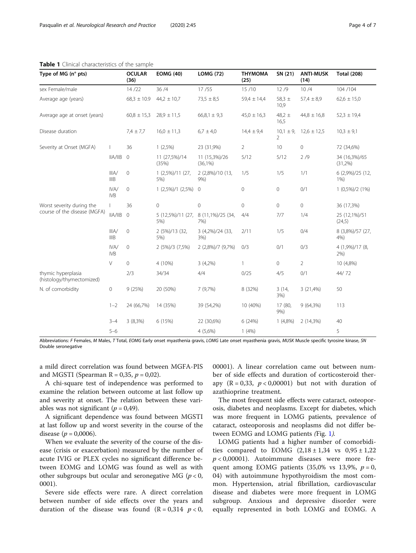| Type of MG (n° pts)                                       |                      | <b>OCULAR</b><br>(36) | <b>EOMG (40)</b>         | <b>LOMG (72)</b>            | <b>THYMOMA</b><br>(25) | SN (21)                         | <b>ANTI-MUSK</b><br>(14) | <b>Total (208)</b>          |
|-----------------------------------------------------------|----------------------|-----------------------|--------------------------|-----------------------------|------------------------|---------------------------------|--------------------------|-----------------------------|
| sex Female/male                                           |                      | 14/22                 | 36/4                     | 17/55                       | 15/10                  | 12/9                            | 10/4                     | 104/104                     |
| Average age (years)                                       |                      | $68,3 \pm 10.9$       | $44,2 \pm 10,7$          | $73,5 \pm 8,5$              | $59,4 \pm 14,4$        | 58,3 $\pm$<br>10,9              | $57,4 \pm 8,9$           | $62,6 \pm 15,0$             |
| Average age at onset (years)                              |                      | $60,8 \pm 15,3$       | $28.9 \pm 11.5$          | $66,8,1 \pm 9,3$            | $45.0 \pm 16.3$        | 48,2 $\pm$<br>16,5              | $44,8 \pm 16,8$          | $52.3 \pm 19.4$             |
| Disease duration                                          |                      | $7.4 \pm 7.7$         | $16,0 \pm 11,3$          | $6.7 \pm 4.0$               | $14,4 \pm 9,4$         | $10,1 \pm 9,$<br>$\mathfrak{D}$ | $12,6 \pm 12,5$          | $10,3 \pm 9,1$              |
| Severity at Onset (MGFA)                                  |                      | 36                    | $1(2,5\%)$               | 23 (31,9%)                  | $\overline{2}$         | 10                              | $\mathsf{O}\xspace$      | 72 (34,6%)                  |
|                                                           | IIA/IIB              | $\overline{0}$        | 11 (27,5%)/14<br>(35%)   | 11 (15,3%)/26<br>$(36,1\%)$ | 5/12                   | 5/12                            | 2/9                      | 34 (16,3%)/65<br>$(31,2\%)$ |
|                                                           | IIIA/<br><b>IIIB</b> | $\overline{0}$        | $1(2,5\%)/11(27,$<br>5%) | 2 (2,8%)/10 (13,<br>9%)     | 1/5                    | 1/5                             | 1/1                      | 6 (2,9%)/25 (12,<br>1%      |
|                                                           | IVA/<br><b>IVB</b>   | $\circ$               | $1(2,5\%)/1(2,5\%)$      | $\overline{0}$              | 0                      | 0                               | 0/1                      | $1(0,5\%)/2(1\%)$           |
| Worst severity during the<br>course of the disease (MGFA) |                      | 36                    | $\circ$                  | $\mathbf{0}$                | $\overline{0}$         | $\mathbf{0}$                    | $\circ$                  | 36 (17,3%)                  |
|                                                           | IIA/IIB              | $\overline{0}$        | 5 (12,5%)/11 (27,<br>5%) | 8 (11,1%)/25 (34,<br>7%)    | 4/4                    | 7/7                             | 1/4                      | 25 (12,1%)/51<br>(24,5)     |
|                                                           | IIIAV<br>IIIB        | $\overline{0}$        | 2 (5%)/13 (32,<br>5%)    | 3 (4,2%)/24 (33,<br>3%)     | 2/11                   | 1/5                             | 0/4                      | 8 (3,8%)/57 (27,<br>4%)     |
|                                                           | IVA/<br><b>IVB</b>   | $\overline{0}$        | 2 (5%)/3 (7,5%)          | 2 (2,8%)/7 (9,7%)           | 0/3                    | 0/1                             | 0/3                      | 4 (1,9%)/17 (8,<br>$2%$ )   |
|                                                           | V                    | 0                     | 4 (10%)                  | $3(4,2\%)$                  | $\mathbf{1}$           | 0                               | $\overline{2}$           | 10 (4,8%)                   |
| thymic hyperplasia<br>(histology/thymectomized)           |                      | 2/3                   | 34/34                    | 4/4                         | 0/25                   | 4/5                             | 0/1                      | 44/72                       |
| N. of comorbidity                                         | 0                    | 9(25%)                | 20 (50%)                 | 7 (9,7%)                    | 8 (32%)                | 3(14,<br>3%)                    | 3 (21,4%)                | 50                          |
|                                                           | $1 - 2$              | 24 (66,7%)            | 14 (35%)                 | 39 (54,2%)                  | 10 (40%)               | 17 (80,<br>9%)                  | $9(64,3\%)$              | 113                         |
|                                                           | $3 - 4$              | $3(8,3\%)$            | 6 (15%)                  | 22 (30,6%)                  | 6(24%)                 | $1(4,8\%)$                      | 2(14,3%)                 | 40                          |
|                                                           | $5 - 6$              |                       |                          | 4 (5,6%)                    | 1(4%)                  |                                 |                          | 5                           |

# <span id="page-3-0"></span>Table 1 Clinical characteristics of the sample

Abbreviations: F Females, M Males, T Total, EOMG Early onset myasthenia gravis, LOMG Late onset myasthenia gravis, MUSK Muscle specific tyrosine kinase, SN Double seronegative

a mild direct correlation was found between MGFA-PIS and MGSTI (Spearman  $R = 0.35$ ,  $p = 0.02$ ).

A chi-square test of independence was performed to examine the relation between outcome at last follow up and severity at onset. The relation between these variables was not significant ( $p = 0.49$ ).

A significant dependence was found between MGSTI at last follow up and worst severity in the course of the disease ( $p = 0,0006$ ).

When we evaluate the severity of the course of the disease (crisis or exacerbation) measured by the number of acute IVIG or PLEX cycles no significant difference between EOMG and LOMG was found as well as with other subgroups but ocular and seronegative MG ( $p < 0$ , 0001).

Severe side effects were rare. A direct correlation between number of side effects over the years and duration of the disease was found  $(R = 0.314 \, p < 0,$  00001). A linear correlation came out between number of side effects and duration of corticosteroid therapy  $(R = 0.33, p < 0.00001)$  but not with duration of azathioprine treatment.

The most frequent side effects were cataract, osteoporosis, diabetes and neoplasms. Except for diabetes, which was more frequent in LOMG patients, prevalence of cataract, osteoporosis and neoplasms did not differ between EOMG and LOMG patients (Fig. [1](#page-5-0)).

LOMG patients had a higher number of comorbidities compared to EOMG  $(2,18 \pm 1,34 \text{ vs } 0,95 \pm 1,22)$  $p < 0,00001$ ). Autoimmune diseases were more frequent among EOMG patients (35,0% vs 13,9%,  $p = 0$ , 04) with autoimmune hypothyroidism the most common. Hypertension, atrial fibrillation, cardiovascular disease and diabetes were more frequent in LOMG subgroup. Anxious and depressive disorder were equally represented in both LOMG and EOMG. A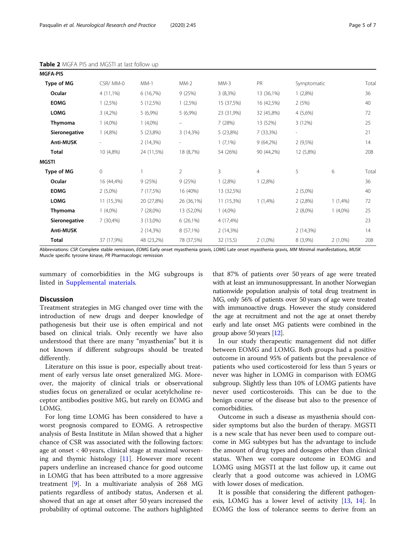| <b>MGFA-PIS</b>  |              |            |                |             |                |                          |            |       |
|------------------|--------------|------------|----------------|-------------|----------------|--------------------------|------------|-------|
| Type of MG       | CSR/MM-0     | $MM-1$     | $MM-2$         | $MM-3$      | PR             | Symptomatic              |            | Total |
| Ocular           | $4(11,1\%)$  | 6(16,7%)   | 9(25%)         | $3(8,3\%)$  | 13 (36,1%)     | 1(2,8%)                  |            | 36    |
| <b>EOMG</b>      | $1(2,5\%)$   | 5 (12,5%)  | $1(2,5\%)$     | 15 (37,5%)  | 16 (42,5%)     | 2(5%)                    |            | 40    |
| <b>LOMG</b>      | $3(4,2\%)$   | 5(6,9%)    | $5(6,9\%)$     | 23 (31,9%)  | 32 (45,8%)     | 4(5,6%)                  |            | 72    |
| Thymoma          | $1(4,0\%)$   | $1(4,0\%)$ | -              | 7(28%)      | 13 (52%)       | 3(12%)                   |            | 25    |
| Sieronegative    | $1(4,8\%)$   | 5 (23,8%)  | $3(14,3\%)$    | 5 (23,8%)   | 7 (33,3%)      | $\overline{\phantom{a}}$ |            | 21    |
| <b>Anti-MUSK</b> |              | 2(14,3%)   |                | $1(7,1\%)$  | $9(64,2\%)$    | $2(9,5\%)$               |            | 14    |
| <b>Total</b>     | 10 (4,8%)    | 24 (11,5%) | 18 (8,7%)      | 54 (26%)    | 90 (44,2%)     | 12 (5,8%)                |            | 208   |
| <b>MGSTI</b>     |              |            |                |             |                |                          |            |       |
| Type of MG       | $\mathbf{0}$ |            | $\overline{2}$ | 3           | $\overline{4}$ | 5                        | 6          | Total |
| Ocular           | 16 (44,4%)   | 9(25%)     | 9(25%)         | 1(2,8%)     | 1(2,8%)        |                          |            | 36    |
| <b>EOMG</b>      | $2(5,0\%)$   | 7 (17,5%)  | 16 (40%)       | 13 (32,5%)  |                | $2(5,0\%)$               |            | 40    |
| <b>LOMG</b>      | 11 (15,3%)   | 20 (27,8%) | 26 (36,1%)     | 11 (15,3%)  | 1(1,4%)        | 2(2,8%)                  | 1(1,4%)    | 72    |
| Thymoma          | $1(4,0\%)$   | 7(28,0%)   | 13 (52,0%)     | $1(4,0\%)$  |                | $2(8,0\%)$               | $1(4,0\%)$ | 25    |
| Sieronegative    | 7 (30,4%)    | 3 (13,0%)  | $6(26,1\%)$    | 4 (17,4%)   |                |                          |            | 23    |
| <b>Anti-MUSK</b> |              | 2(14,3%)   | 8 (57,1%)      | $2(14,3\%)$ |                | $2(14,3\%)$              |            | 14    |
| Total            | 37 (17,9%)   | 48 (23,2%) | 78 (37,5%)     | 32 (15,5)   | $2(1,0\%)$     | 8 (3,9%)                 | $2(1,0\%)$ | 208   |

<span id="page-4-0"></span>Table 2 MGFA PIS and MGSTI at last follow up

Abbreviations: CSR Complete stable remission, EOMG Early onset myasthenia gravis, LOMG Late onset myasthenia gravis, MM Minimal manifestations, MUSK Muscle specific tyrosine kinase, PR Pharmacologic remission

summary of comorbidities in the MG subgroups is listed in [Supplemental materials](#page-6-0).

# Discussion

Treatment strategies in MG changed over time with the introduction of new drugs and deeper knowledge of pathogenesis but their use is often empirical and not based on clinical trials. Only recently we have also understood that there are many "myasthenias" but it is not known if different subgroups should be treated differently.

Literature on this issue is poor, especially about treatment of early versus late onset generalized MG. Moreover, the majority of clinical trials or observational studies focus on generalized or ocular acetylcholine receptor antibodies positive MG, but rarely on EOMG and LOMG.

For long time LOMG has been considered to have a worst prognosis compared to EOMG. A retrospective analysis of Besta Institute in Milan showed that a higher chance of CSR was associated with the following factors: age at onset < 40 years, clinical stage at maximal worsening and thymic histology [[11\]](#page-6-0). However more recent papers underline an increased chance for good outcome in LOMG that has been attributed to a more aggressive treatment [[9\]](#page-6-0). In a multivariate analysis of 268 MG patients regardless of antibody status, Andersen et al. showed that an age at onset after 50 years increased the probability of optimal outcome. The authors highlighted

that 87% of patients over 50 years of age were treated with at least an immunosuppressant. In another Norwegian nationwide population analysis of total drug treatment in MG, only 56% of patients over 50 years of age were treated with immunoactive drugs. However the study considered the age at recruitment and not the age at onset thereby early and late onset MG patients were combined in the group above 50 years [\[12\]](#page-6-0).

In our study therapeutic management did not differ between EOMG and LOMG. Both groups had a positive outcome in around 95% of patients but the prevalence of patients who used corticosteroid for less than 5 years or never was higher in LOMG in comparison with EOMG subgroup. Slightly less than 10% of LOMG patients have never used corticosteroids. This can be due to the benign course of the disease but also to the presence of comorbidities.

Outcome in such a disease as myasthenia should consider symptoms but also the burden of therapy. MGSTI is a new scale that has never been used to compare outcome in MG subtypes but has the advantage to include the amount of drug types and dosages other than clinical status. When we compare outcome in EOMG and LOMG using MGSTI at the last follow up, it came out clearly that a good outcome was achieved in LOMG with lower doses of medication.

It is possible that considering the different pathogenesis, LOMG has a lower level of activity [\[13](#page-6-0), [14](#page-6-0)]. In EOMG the loss of tolerance seems to derive from an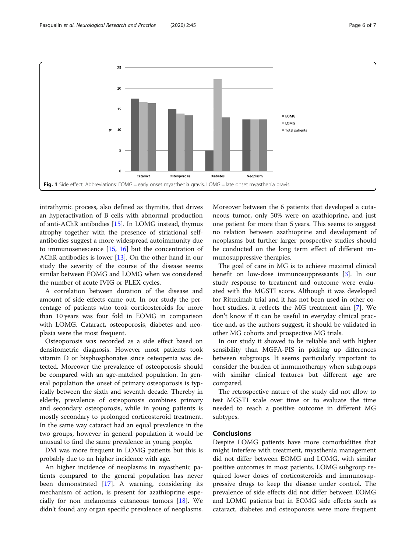<span id="page-5-0"></span>

intrathymic process, also defined as thymitis, that drives an hyperactivation of B cells with abnormal production of anti-AChR antibodies [\[15\]](#page-6-0). In LOMG instead, thymus atrophy together with the presence of striational selfantibodies suggest a more widespread autoimmunity due to immunosenescence [\[15](#page-6-0), [16\]](#page-6-0) but the concentration of AChR antibodies is lower [\[13](#page-6-0)]. On the other hand in our study the severity of the course of the disease seems similar between EOMG and LOMG when we considered the number of acute IVIG or PLEX cycles.

A correlation between duration of the disease and amount of side effects came out. In our study the percentage of patients who took corticosteroids for more than 10 years was four fold in EOMG in comparison with LOMG. Cataract, osteoporosis, diabetes and neoplasia were the most frequent.

Osteoporosis was recorded as a side effect based on densitometric diagnosis. However most patients took vitamin D or bisphosphonates since osteopenia was detected. Moreover the prevalence of osteoporosis should be compared with an age-matched population. In general population the onset of primary osteoporosis is typically between the sixth and seventh decade. Thereby in elderly, prevalence of osteoporosis combines primary and secondary osteoporosis, while in young patients is mostly secondary to prolonged corticosteroid treatment. In the same way cataract had an equal prevalence in the two groups, however in general population it would be unusual to find the same prevalence in young people.

DM was more frequent in LOMG patients but this is probably due to an higher incidence with age.

An higher incidence of neoplasms in myasthenic patients compared to the general population has never been demonstrated [\[17\]](#page-6-0). A warning, considering its mechanism of action, is present for azathioprine especially for non melanomas cutaneous tumors [[18\]](#page-6-0). We didn't found any organ specific prevalence of neoplasms. Moreover between the 6 patients that developed a cutaneous tumor, only 50% were on azathioprine, and just one patient for more than 5 years. This seems to suggest no relation between azathioprine and development of neoplasms but further larger prospective studies should be conducted on the long term effect of different immunosuppressive therapies.

The goal of care in MG is to achieve maximal clinical benefit on low-dose immunosuppressants [[3\]](#page-6-0). In our study response to treatment and outcome were evaluated with the MGSTI score. Although it was developed for Rituximab trial and it has not been used in other cohort studies, it reflects the MG treatment aim [[7\]](#page-6-0). We don't know if it can be useful in everyday clinical practice and, as the authors suggest, it should be validated in other MG cohorts and prospective MG trials.

In our study it showed to be reliable and with higher sensibility than MGFA-PIS in picking up differences between subgroups. It seems particularly important to consider the burden of immunotherapy when subgroups with similar clinical features but different age are compared.

The retrospective nature of the study did not allow to test MGSTI scale over time or to evaluate the time needed to reach a positive outcome in different MG subtypes.

# Conclusions

Despite LOMG patients have more comorbidities that might interfere with treatment, myasthenia management did not differ between EOMG and LOMG, with similar positive outcomes in most patients. LOMG subgroup required lower doses of corticosteroids and immunosuppressive drugs to keep the disease under control. The prevalence of side effects did not differ between EOMG and LOMG patients but in EOMG side effects such as cataract, diabetes and osteoporosis were more frequent